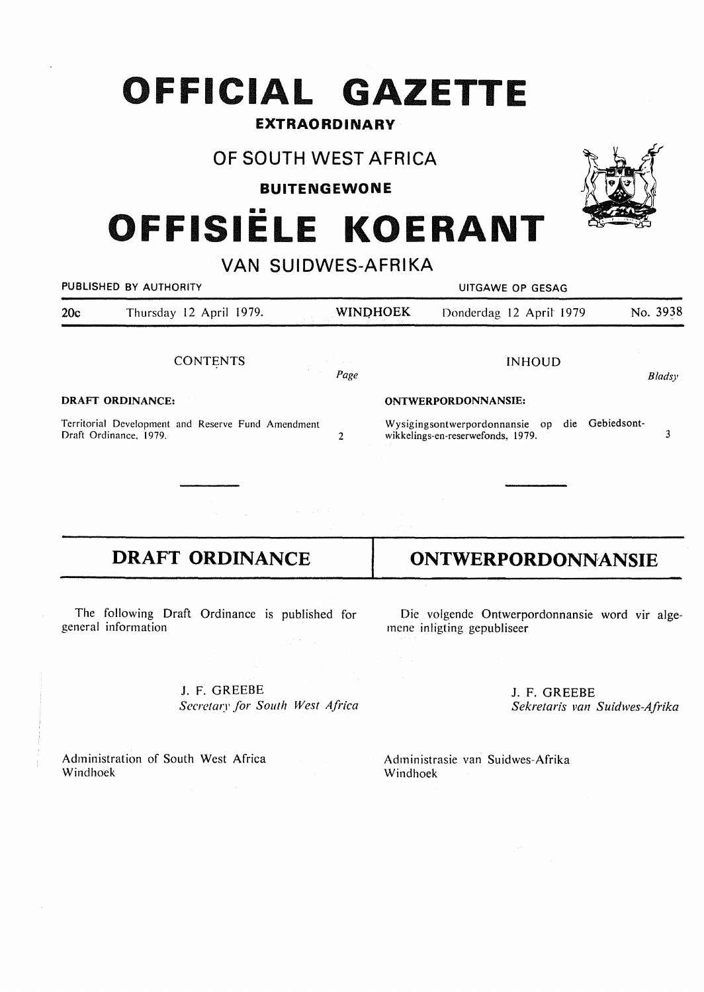# **OFFICIAL GAZETTE**

### **EXTRAORDINARY**

## **OF SOUTH WEST AFRICA**

**BUITENGEWONE** 

# •• **OFFISIELE KOERANT**

|                                                                              | VAN SUIDWES-AFRIKA      |                 |                                                                                        |                         |          |  |  |  |
|------------------------------------------------------------------------------|-------------------------|-----------------|----------------------------------------------------------------------------------------|-------------------------|----------|--|--|--|
|                                                                              | PUBLISHED BY AUTHORITY  |                 | UITGAWE OP GESAG                                                                       |                         |          |  |  |  |
| 20c                                                                          | Thursday 12 April 1979. | <b>WINDHOEK</b> |                                                                                        | Donderdag 12 April 1979 | No. 3938 |  |  |  |
|                                                                              | <b>CONTENTS</b>         | Page            |                                                                                        | <b>INHOUD</b>           | Bladsy   |  |  |  |
| <b>DRAFT ORDINANCE:</b>                                                      |                         |                 | ONTWERPORDONNANSIE:                                                                    |                         |          |  |  |  |
| Territorial Development and Reserve Fund Amendment<br>Draft Ordinance, 1979. |                         | $\overline{2}$  | die Gebiedsont-<br>Wysigingsontwerpordonnansie op<br>wikkelings-en-reserwefonds, 1979. |                         |          |  |  |  |
|                                                                              |                         |                 |                                                                                        |                         |          |  |  |  |

# **DRAFT ORDINANCE**

The following Draft Ordinance is published for general information

> J. F. GREEBE Secretary for South West Africa

Administration of South West Africa Windhoek

# **ONTWERPORDONNANSIE**

Die volgende Ontwerpordonnansie word vir algernene inligting gepubliseer

> J. F. GREEBE *Sekretaris van Suidwes-Afrika*

Administrasie van Suidwes-Afrika Windhoek

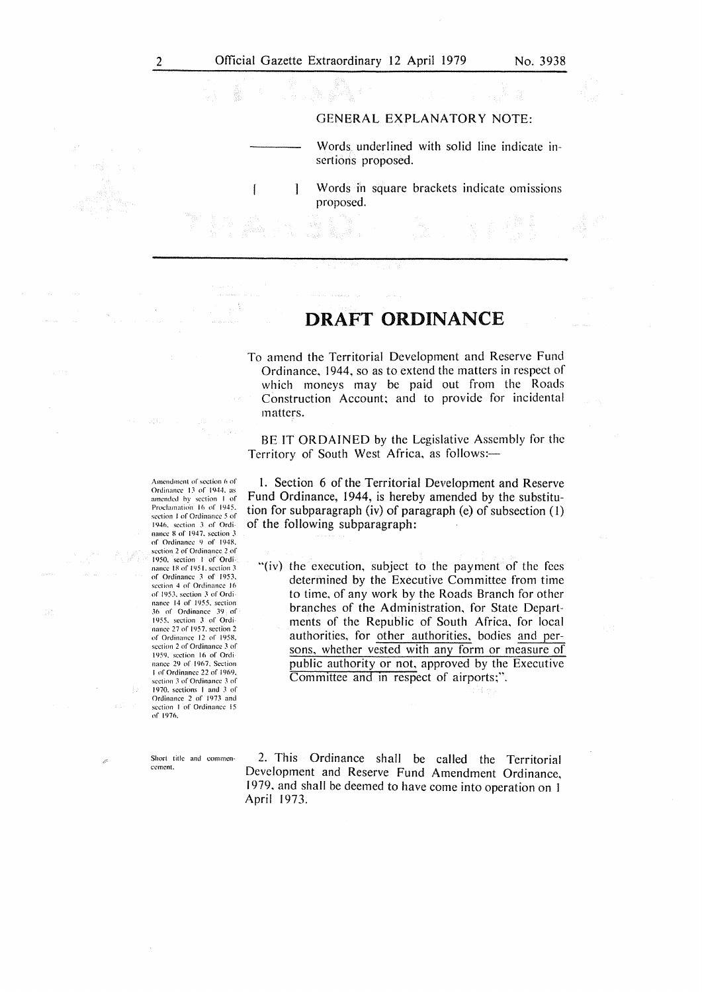proposed.

 $\mathbf{I}$ 

#### GENERAL EXPLANATORY NOTE:

Words underlined with solid line indicate insertions proposed.

Words in square brackets indicate omissions  $\overline{\phantom{a}}$ 

## **DRAFT ORDINANCE**

To amend the Territorial Development and Reserve Fund Ordinance, 1944, so as to extend the matters in respect of which moneys may be paid out from the Roads Construction Account; and to provide for incidental matters.

BE IT ORDAINED by the Legislative Assembly for the Territory of South West Africa, as follows:-

1. Section 6 of the Territorial Development and Reserve Fund Ordinance, 1944, is hereby amended by the substitution for subparagraph (iv) of paragraph (e) of subsection (1) of the following subparagraph:

"(iv) the execution, subject to the payment of the fees determined by the Executive Committee from time to time, of any work by the Roads Branch for other branches of the Administration, for State Departments of the Republic of South Africa, for local authorities, for other authorities, bodies and persons, whether vested with any form or measure of public authority or not, approved by the Executive Committee and in respect of airports;".

Short title and commencement.

of 1976.

2. This Ordinance shall be called the Territorial Development and Reserve Fund Amendment Ordinance, 1979, and shall be deemed to have come into operation on I April 1973.

Amendment of section 6 of Ordinance 13 of 1944, as amended by section 1 of<br>Proclamation 16 of 1945. section 1 of Ordinance 5 of 1946. section 3 of Ordi-nance 8 of 194 7. section *3*  of Ordinance 9 of 1948. section 2 of Ordinance 2 of 1950, section 1 of Ordinance 18 of 1951. section 3 of Ordinance 3 of 1953. section 4 of Ordinance 16 of l95J. section *3* of Ordi nancc 14 of 1955. section J6 of Ordinance 39 of 1955. section *3* of Ordinance 27 of 1957. section 2 of' Ordinance 12: of I 958. section 2 of Ordinance *3* of 1959. section 16 of Ordi· nancc 29 of 1967. Section I of Ordinance 22 of 1969, section 3 of Ordinance 3 of 1970. sections 1 and 3 of Ordinance 2 of 1973 and section I of Ordinance 15